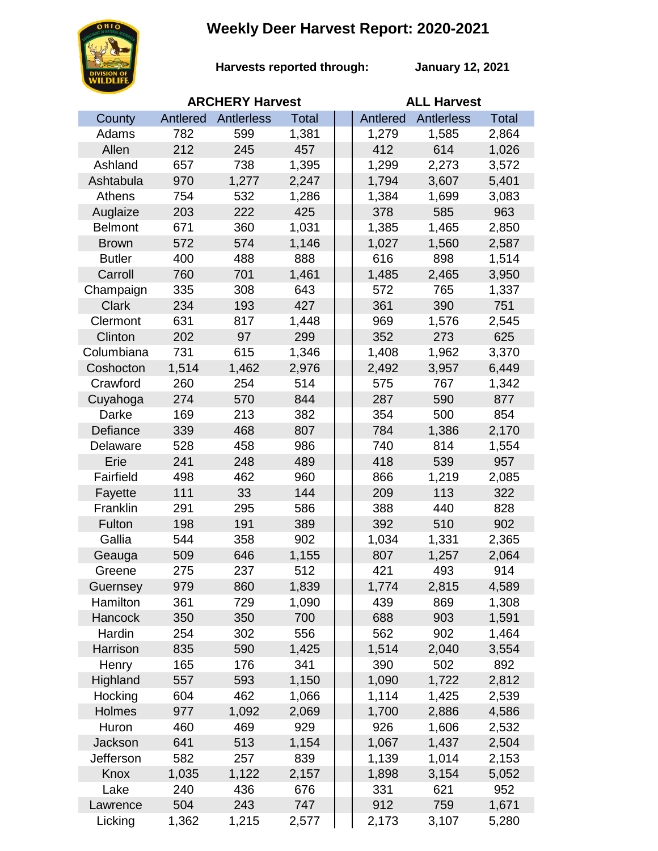## **Weekly Deer Harvest Report: 2020-2021**



**Harvests reported through:** 

**January 12, 2021**

|                | <b>ARCHERY Harvest</b> |            |       |  | <b>ALL Harvest</b> |                   |              |  |
|----------------|------------------------|------------|-------|--|--------------------|-------------------|--------------|--|
| County         | Antlered               | Antlerless | Total |  | Antlered           | <b>Antlerless</b> | <b>Total</b> |  |
| Adams          | 782                    | 599        | 1,381 |  | 1,279              | 1,585             | 2,864        |  |
| Allen          | 212                    | 245        | 457   |  | 412                | 614               | 1,026        |  |
| Ashland        | 657                    | 738        | 1,395 |  | 1,299              | 2,273             | 3,572        |  |
| Ashtabula      | 970                    | 1,277      | 2,247 |  | 1,794              | 3,607             | 5,401        |  |
| Athens         | 754                    | 532        | 1,286 |  | 1,384              | 1,699             | 3,083        |  |
| Auglaize       | 203                    | 222        | 425   |  | 378                | 585               | 963          |  |
| <b>Belmont</b> | 671                    | 360        | 1,031 |  | 1,385              | 1,465             | 2,850        |  |
| <b>Brown</b>   | 572                    | 574        | 1,146 |  | 1,027              | 1,560             | 2,587        |  |
| <b>Butler</b>  | 400                    | 488        | 888   |  | 616                | 898               | 1,514        |  |
| Carroll        | 760                    | 701        | 1,461 |  | 1,485              | 2,465             | 3,950        |  |
| Champaign      | 335                    | 308        | 643   |  | 572                | 765               | 1,337        |  |
| <b>Clark</b>   | 234                    | 193        | 427   |  | 361                | 390               | 751          |  |
| Clermont       | 631                    | 817        | 1,448 |  | 969                | 1,576             | 2,545        |  |
| Clinton        | 202                    | 97         | 299   |  | 352                | 273               | 625          |  |
| Columbiana     | 731                    | 615        | 1,346 |  | 1,408              | 1,962             | 3,370        |  |
| Coshocton      | 1,514                  | 1,462      | 2,976 |  | 2,492              | 3,957             | 6,449        |  |
| Crawford       | 260                    | 254        | 514   |  | 575                | 767               | 1,342        |  |
| Cuyahoga       | 274                    | 570        | 844   |  | 287                | 590               | 877          |  |
| Darke          | 169                    | 213        | 382   |  | 354                | 500               | 854          |  |
| Defiance       | 339                    | 468        | 807   |  | 784                | 1,386             | 2,170        |  |
| Delaware       | 528                    | 458        | 986   |  | 740                | 814               | 1,554        |  |
| Erie           | 241                    | 248        | 489   |  | 418                | 539               | 957          |  |
| Fairfield      | 498                    | 462        | 960   |  | 866                | 1,219             | 2,085        |  |
| Fayette        | 111                    | 33         | 144   |  | 209                | 113               | 322          |  |
| Franklin       | 291                    | 295        | 586   |  | 388                | 440               | 828          |  |
| Fulton         | 198                    | 191        | 389   |  | 392                | 510               | 902          |  |
| Gallia         | 544                    | 358        | 902   |  | 1,034              | 1,331             | 2,365        |  |
| Geauga         | 509                    | 646        | 1,155 |  | 807                | 1,257             | 2,064        |  |
| Greene         | 275                    | 237        | 512   |  | 421                | 493               | 914          |  |
| Guernsey       | 979                    | 860        | 1,839 |  | 1,774              | 2,815             | 4,589        |  |
| Hamilton       | 361                    | 729        | 1,090 |  | 439                | 869               | 1,308        |  |
| Hancock        | 350                    | 350        | 700   |  | 688                | 903               | 1,591        |  |
| Hardin         | 254                    | 302        | 556   |  | 562                | 902               | 1,464        |  |
| Harrison       | 835                    | 590        | 1,425 |  | 1,514              | 2,040             | 3,554        |  |
| Henry          | 165                    | 176        | 341   |  | 390                | 502               | 892          |  |
| Highland       | 557                    | 593        | 1,150 |  | 1,090              | 1,722             | 2,812        |  |
| Hocking        | 604                    | 462        | 1,066 |  | 1,114              | 1,425             | 2,539        |  |
| Holmes         | 977                    | 1,092      | 2,069 |  | 1,700              | 2,886             | 4,586        |  |
| Huron          | 460                    | 469        | 929   |  | 926                | 1,606             | 2,532        |  |
| Jackson        | 641                    | 513        | 1,154 |  | 1,067              | 1,437             | 2,504        |  |
| Jefferson      | 582                    | 257        | 839   |  | 1,139              | 1,014             | 2,153        |  |
| Knox           | 1,035                  | 1,122      | 2,157 |  | 1,898              | 3,154             | 5,052        |  |
| Lake           | 240                    | 436        | 676   |  | 331                | 621               | 952          |  |
| Lawrence       | 504                    | 243        | 747   |  | 912                | 759               | 1,671        |  |
| Licking        | 1,362                  | 1,215      | 2,577 |  | 2,173              | 3,107             | 5,280        |  |